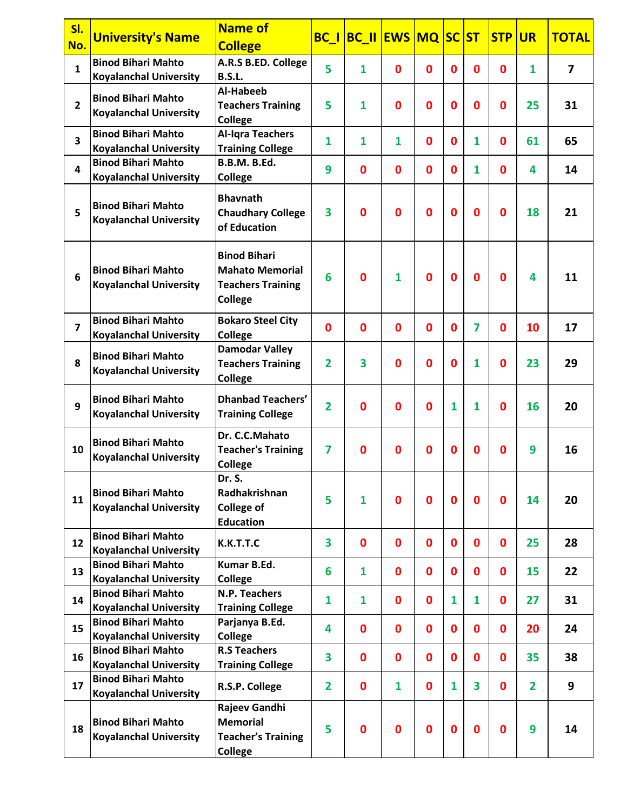| SI.<br>No.     | <b>University's Name</b>                                   | <b>Name of</b><br><b>College</b>                                                     |                | <b>BC_I BC_II EWS MQ SC</b> |                  |             |                  | <b>ST</b>        | <b>STP</b>  | <b>UR</b>      | <b>TOTAL</b>            |
|----------------|------------------------------------------------------------|--------------------------------------------------------------------------------------|----------------|-----------------------------|------------------|-------------|------------------|------------------|-------------|----------------|-------------------------|
| $\mathbf{1}$   | <b>Binod Bihari Mahto</b><br><b>Koyalanchal University</b> | A.R.S B.ED. College<br><b>B.S.L.</b>                                                 | 5              | 1                           | $\bf{0}$         | $\mathbf 0$ | $\mathbf{0}$     | $\mathbf 0$      | $\mathbf 0$ | $\mathbf{1}$   | $\overline{\mathbf{z}}$ |
| $\overline{2}$ | <b>Binod Bihari Mahto</b><br><b>Koyalanchal University</b> | Al-Habeeb<br><b>Teachers Training</b><br>College                                     | 5              | 1                           | $\mathbf 0$      | $\mathbf 0$ | $\mathbf 0$      | $\bf{0}$         | $\mathbf 0$ | 25             | 31                      |
| 3              | <b>Binod Bihari Mahto</b><br><b>Koyalanchal University</b> | <b>Al-Igra Teachers</b><br><b>Training College</b>                                   | $\mathbf{1}$   | 1                           | 1                | $\mathbf 0$ | $\mathbf 0$      | $\mathbf{1}$     | $\mathbf 0$ | 61             | 65                      |
| 4              | <b>Binod Bihari Mahto</b><br><b>Koyalanchal University</b> | <b>B.B.M. B.Ed.</b><br><b>College</b>                                                | 9              | 0                           | $\bf{0}$         | $\mathbf 0$ | $\bf{0}$         | 1                | $\mathbf 0$ | 4              | 14                      |
| 5              | <b>Binod Bihari Mahto</b><br><b>Koyalanchal University</b> | <b>Bhavnath</b><br><b>Chaudhary College</b><br>of Education                          | 3              | 0                           | 0                | $\bf{0}$    | $\mathbf 0$      | $\bf{0}$         | $\bf{0}$    | 18             | 21                      |
| 6              | <b>Binod Bihari Mahto</b><br><b>Koyalanchal University</b> | <b>Binod Bihari</b><br><b>Mahato Memorial</b><br><b>Teachers Training</b><br>College | 6              | $\bf{0}$                    | $\mathbf{1}$     | $\bf{0}$    | $\mathbf 0$      | $\bf{0}$         | $\mathbf 0$ | 4              | 11                      |
| $\overline{7}$ | <b>Binod Bihari Mahto</b><br><b>Koyalanchal University</b> | <b>Bokaro Steel City</b><br><b>College</b>                                           | $\bf{0}$       | 0                           | $\mathbf 0$      | $\mathbf 0$ | $\mathbf{0}$     | 7                | $\bf{0}$    | 10             | 17                      |
| 8              | <b>Binod Bihari Mahto</b><br><b>Koyalanchal University</b> | <b>Damodar Valley</b><br><b>Teachers Training</b><br>College                         | $\overline{2}$ | 3                           | $\mathbf 0$      | $\mathbf 0$ | $\mathbf 0$      | 1                | $\mathbf 0$ | 23             | 29                      |
| 9              | <b>Binod Bihari Mahto</b><br><b>Koyalanchal University</b> | <b>Dhanbad Teachers'</b><br><b>Training College</b>                                  | $\overline{2}$ | 0                           | 0                | $\mathbf 0$ | 1                | 1                | 0           | 16             | 20                      |
| 10             | <b>Binod Bihari Mahto</b><br><b>Koyalanchal University</b> | Dr. C.C.Mahato<br><b>Teacher's Training</b><br><b>College</b>                        | $\overline{7}$ | 0                           | $\mathbf 0$      | $\mathbf 0$ | $\mathbf 0$      | $\bf{0}$         | 0           | 9              | 16                      |
| 11             | <b>Binod Bihari Mahto</b><br><b>Koyalanchal University</b> | Dr. S.<br>Radhakrishnan<br><b>College of</b><br><b>Education</b>                     | 5              | 1                           | $\bf{0}$         | $\bf{0}$    | $\boldsymbol{0}$ | $\bf{0}$         | $\mathbf 0$ | 14             | 20                      |
| 12             | <b>Binod Bihari Mahto</b><br><b>Koyalanchal University</b> | K.K.T.T.C                                                                            | 3              | 0                           | $\bf{0}$         | $\mathbf 0$ | $\mathbf 0$      | $\boldsymbol{0}$ | $\mathbf 0$ | 25             | 28                      |
| 13             | <b>Binod Bihari Mahto</b><br><b>Koyalanchal University</b> | Kumar B.Ed.<br>College                                                               | 6              | $\mathbf{1}$                | $\bf{0}$         | $\mathbf 0$ | $\mathbf 0$      | $\mathbf 0$      | $\mathbf 0$ | 15             | 22                      |
| 14             | <b>Binod Bihari Mahto</b><br><b>Koyalanchal University</b> | N.P. Teachers<br><b>Training College</b>                                             | $\mathbf{1}$   | $\mathbf{1}$                | $\boldsymbol{0}$ | $\mathbf 0$ | 1                | $\mathbf{1}$     | $\mathbf 0$ | 27             | 31                      |
| 15             | <b>Binod Bihari Mahto</b><br><b>Koyalanchal University</b> | Parjanya B.Ed.<br>College                                                            | 4              | 0                           | $\boldsymbol{0}$ | $\mathbf 0$ | $\mathbf 0$      | $\mathbf 0$      | $\mathbf 0$ | 20             | 24                      |
| 16             | <b>Binod Bihari Mahto</b><br><b>Koyalanchal University</b> | <b>R.S Teachers</b><br><b>Training College</b>                                       | 3              | 0                           | $\bf{0}$         | $\mathbf 0$ | $\mathbf 0$      | $\mathbf 0$      | $\bf{0}$    | 35             | 38                      |
| 17             | <b>Binod Bihari Mahto</b><br><b>Koyalanchal University</b> | R.S.P. College                                                                       | $\overline{2}$ | 0                           | $\mathbf{1}$     | $\mathbf 0$ | 1                | 3                | $\mathbf 0$ | $\overline{2}$ | 9                       |
| 18             | <b>Binod Bihari Mahto</b><br><b>Koyalanchal University</b> | Rajeev Gandhi<br><b>Memorial</b><br><b>Teacher's Training</b><br><b>College</b>      | 5              | $\mathbf 0$                 | $\bf{0}$         | $\bf{0}$    | $\bf{0}$         | $\bf{0}$         | $\bf{0}$    | 9              | 14                      |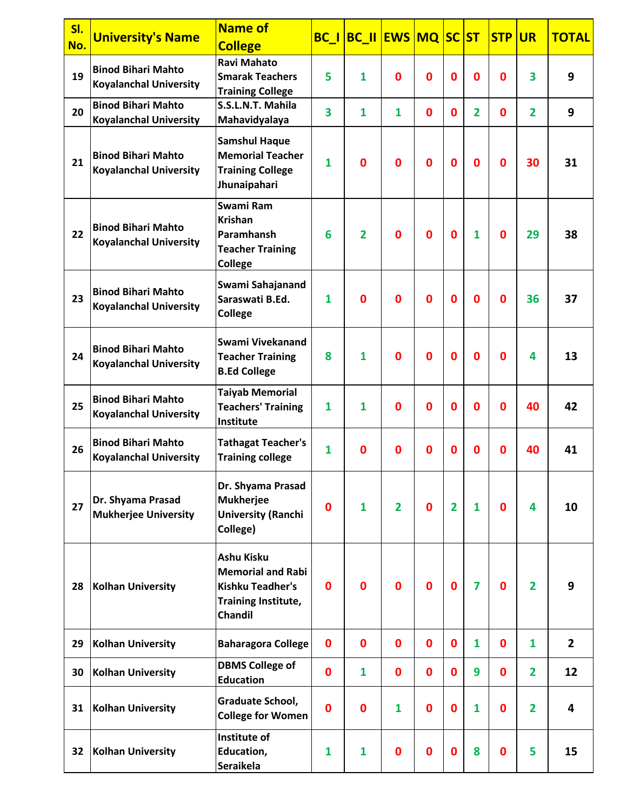| SI.<br>No. | <b>University's Name</b>                                   | <b>Name of</b><br><b>College</b>                                                                                  |              | <b>BC_I BC_II EWS MQ SC ST</b> |                |              |                |                         | <b>STP</b>  | <b>UR</b>      | <b>TOTAL</b>            |
|------------|------------------------------------------------------------|-------------------------------------------------------------------------------------------------------------------|--------------|--------------------------------|----------------|--------------|----------------|-------------------------|-------------|----------------|-------------------------|
| 19         | <b>Binod Bihari Mahto</b><br><b>Koyalanchal University</b> | <b>Ravi Mahato</b><br><b>Smarak Teachers</b><br><b>Training College</b>                                           | 5            | $\mathbf{1}$                   | $\bf{0}$       | 0            | 0              | $\mathbf 0$             | $\mathbf 0$ | 3              | 9                       |
| 20         | <b>Binod Bihari Mahto</b><br><b>Koyalanchal University</b> | S.S.L.N.T. Mahila<br>Mahavidyalaya                                                                                | 3            | 1                              | 1              | $\mathbf{0}$ | $\mathbf{0}$   | $\overline{2}$          | $\mathbf 0$ | $\overline{2}$ | 9                       |
| 21         | <b>Binod Bihari Mahto</b><br><b>Koyalanchal University</b> | <b>Samshul Haque</b><br><b>Memorial Teacher</b><br><b>Training College</b><br>Jhunaipahari                        | $\mathbf{1}$ | 0                              | $\bf{0}$       | $\bf{0}$     | $\mathbf 0$    | $\mathbf 0$             | $\mathbf 0$ | 30             | 31                      |
| 22         | <b>Binod Bihari Mahto</b><br><b>Koyalanchal University</b> | Swami Ram<br><b>Krishan</b><br>Paramhansh<br><b>Teacher Training</b><br><b>College</b>                            | 6            | $\overline{2}$                 | $\bf{0}$       | $\bf{0}$     | $\mathbf 0$    | $\mathbf{1}$            | $\mathbf 0$ | 29             | 38                      |
| 23         | <b>Binod Bihari Mahto</b><br><b>Koyalanchal University</b> | Swami Sahajanand<br>Saraswati B.Ed.<br><b>College</b>                                                             | $\mathbf{1}$ | $\bf{0}$                       | $\mathbf 0$    | $\bf{0}$     | $\mathbf 0$    | $\bf{0}$                | $\mathbf 0$ | 36             | 37                      |
| 24         | <b>Binod Bihari Mahto</b><br><b>Koyalanchal University</b> | Swami Vivekanand<br><b>Teacher Training</b><br><b>B.Ed College</b>                                                | 8            | $\mathbf{1}$                   | $\mathbf 0$    | $\mathbf 0$  | $\bf{0}$       | $\mathbf 0$             | $\mathbf 0$ | 4              | 13                      |
| 25         | <b>Binod Bihari Mahto</b><br><b>Koyalanchal University</b> | <b>Taiyab Memorial</b><br><b>Teachers' Training</b><br>Institute                                                  | $\mathbf{1}$ | 1                              | $\mathbf 0$    | $\mathbf 0$  | $\bf{0}$       | $\mathbf{0}$            | $\mathbf 0$ | 40             | 42                      |
| 26         | <b>Binod Bihari Mahto</b><br><b>Koyalanchal University</b> | <b>Tathagat Teacher's</b><br><b>Training college</b>                                                              | $\mathbf{1}$ | $\bf{0}$                       | $\mathbf 0$    | $\mathbf 0$  | $\bf{0}$       | $\mathbf 0$             | $\mathbf 0$ | 40             | 41                      |
| 27         | Dr. Shyama Prasad<br><b>Mukherjee University</b>           | Dr. Shyama Prasad<br><b>Mukherjee</b><br><b>University (Ranchi</b><br>College)                                    | $\bf{0}$     | $\mathbf{1}$                   | $\overline{2}$ | $\bf{0}$     | $\overline{2}$ | $\mathbf{1}$            | $\mathbf 0$ | 4              | 10                      |
| 28         | <b>Kolhan University</b>                                   | <b>Ashu Kisku</b><br><b>Memorial and Rabi</b><br><b>Kishku Teadher's</b><br>Training Institute,<br><b>Chandil</b> | 0            | $\bf{0}$                       | $\bf{0}$       | $\mathbf 0$  | $\mathbf 0$    | $\overline{\mathbf{z}}$ | $\mathbf 0$ | $\overline{2}$ | 9                       |
| 29         | <b>Kolhan University</b>                                   | <b>Baharagora College</b>                                                                                         | $\bf{0}$     | 0                              | $\mathbf 0$    | 0            | 0              | 1                       | $\mathbf 0$ | 1              | $\overline{2}$          |
| 30         | <b>Kolhan University</b>                                   | <b>DBMS College of</b><br><b>Education</b>                                                                        | $\bf{0}$     | $\mathbf{1}$                   | $\mathbf 0$    | 0            | $\mathbf 0$    | 9                       | $\mathbf 0$ | $\overline{2}$ | 12                      |
| 31         | <b>Kolhan University</b>                                   | Graduate School,<br><b>College for Women</b>                                                                      | $\mathbf 0$  | $\bf{0}$                       | 1              | $\mathbf 0$  | $\mathbf 0$    | 1                       | $\mathbf 0$ | 2              | $\overline{\mathbf{4}}$ |
| 32         | Kolhan University                                          | Institute of<br>Education,<br><b>Seraikela</b>                                                                    | 1            | 1                              | $\bf{0}$       | $\mathbf 0$  | $\mathbf 0$    | 8                       | $\mathbf 0$ | 5              | 15                      |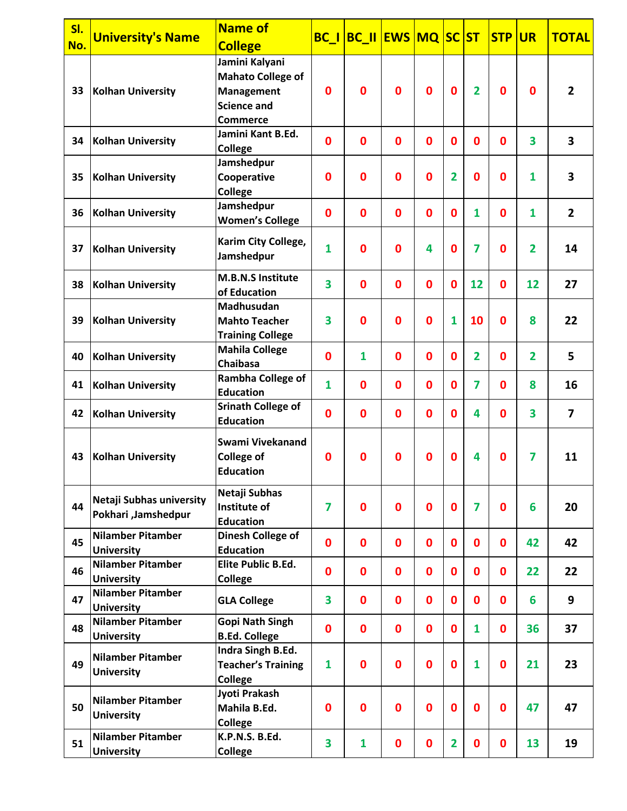| SI. | <b>University's Name</b>                        | <b>Name of</b>                                                                                           |                | BC_I BC_II EWS MQ SC ST |              |              |                         |                | <b>STP</b>  | <b>UR</b>               | <b>TOTAL</b>   |
|-----|-------------------------------------------------|----------------------------------------------------------------------------------------------------------|----------------|-------------------------|--------------|--------------|-------------------------|----------------|-------------|-------------------------|----------------|
| No. |                                                 | <b>College</b>                                                                                           |                |                         |              |              |                         |                |             |                         |                |
| 33  | Kolhan University                               | Jamini Kalyani<br><b>Mahato College of</b><br><b>Management</b><br><b>Science and</b><br><b>Commerce</b> | $\mathbf 0$    | 0                       | $\mathbf{0}$ | $\bf{0}$     | $\mathbf 0$             | $\overline{2}$ | $\mathbf 0$ | $\mathbf 0$             | $\overline{2}$ |
| 34  | Kolhan University                               | Jamini Kant B.Ed.<br><b>College</b>                                                                      | $\mathbf 0$    | 0                       | $\mathbf 0$  | $\bf{0}$     | $\bf{0}$                | 0              | $\bf{0}$    | $\overline{\mathbf{3}}$ | 3              |
| 35  | <b>Kolhan University</b>                        | Jamshedpur<br>Cooperative<br><b>College</b>                                                              | $\bf{0}$       | $\mathbf 0$             | $\bf{0}$     | $\bf{0}$     | 2                       | 0              | $\mathbf 0$ | 1                       | 3              |
| 36  | <b>Kolhan University</b>                        | Jamshedpur<br><b>Women's College</b>                                                                     | $\mathbf 0$    | $\mathbf 0$             | $\mathbf{0}$ | $\mathbf 0$  | $\mathbf{0}$            | $\mathbf{1}$   | $\mathbf 0$ | $\mathbf{1}$            | $\overline{2}$ |
| 37  | <b>Kolhan University</b>                        | Karim City College,<br>Jamshedpur                                                                        | $\mathbf{1}$   | $\bf{0}$                | $\bf{0}$     | 4            | 0                       | 7              | $\mathbf 0$ | $\overline{2}$          | 14             |
| 38  | <b>Kolhan University</b>                        | <b>M.B.N.S Institute</b><br>of Education                                                                 | 3              | $\mathbf 0$             | $\mathbf{0}$ | $\mathbf{0}$ | $\mathbf{0}$            | 12             | $\mathbf 0$ | 12                      | 27             |
| 39  | <b>Kolhan University</b>                        | Madhusudan<br><b>Mahto Teacher</b><br><b>Training College</b>                                            | 3              | $\mathbf 0$             | $\mathbf{0}$ | $\mathbf 0$  | 1                       | 10             | $\mathbf 0$ | 8                       | 22             |
| 40  | <b>Kolhan University</b>                        | <b>Mahila College</b><br><b>Chaibasa</b>                                                                 | $\bf{0}$       | $\mathbf{1}$            | $\mathbf 0$  | $\mathbf 0$  | 0                       | $\mathbf{2}$   | 0           | $\overline{2}$          | 5              |
| 41  | <b>Kolhan University</b>                        | <b>Rambha College of</b><br><b>Education</b>                                                             | $\mathbf{1}$   | $\mathbf 0$             | $\mathbf 0$  | $\mathbf 0$  | 0                       | 7              | $\mathbf 0$ | 8                       | 16             |
| 42  | <b>Kolhan University</b>                        | <b>Srinath College of</b><br><b>Education</b>                                                            | $\mathbf 0$    | 0                       | $\mathbf{0}$ | $\mathbf 0$  | $\mathbf{0}$            | 4              | $\mathbf 0$ | 3                       | $\overline{7}$ |
| 43  | <b>Kolhan University</b>                        | Swami Vivekanand<br><b>College of</b><br><b>Education</b>                                                | $\mathbf 0$    | 0                       | 0            | 0            | 0                       | 4              | $\mathbf 0$ | 7                       | 11             |
| 44  | Netaji Subhas university<br>Pokhari, Jamshedpur | Netaji Subhas<br>Institute of<br><b>Education</b>                                                        | $\overline{7}$ | $\mathbf 0$             | $\mathbf{0}$ | $\bf{0}$     | $\bf{0}$                | $\overline{7}$ | $\mathbf 0$ | 6                       | 20             |
| 45  | <b>Nilamber Pitamber</b><br><b>University</b>   | Dinesh College of<br><b>Education</b>                                                                    | $\mathbf 0$    | $\mathbf 0$             | $\mathbf 0$  | $\mathbf 0$  | $\mathbf 0$             | $\mathbf 0$    | $\mathbf 0$ | 42                      | 42             |
| 46  | <b>Nilamber Pitamber</b><br><b>University</b>   | <b>Elite Public B.Ed.</b><br><b>College</b>                                                              | $\mathbf 0$    | 0                       | $\mathbf 0$  | $\mathbf 0$  | 0                       | $\mathbf 0$    | $\mathbf 0$ | 22                      | 22             |
| 47  | <b>Nilamber Pitamber</b><br><b>University</b>   | <b>GLA College</b>                                                                                       | 3              | 0                       | $\mathbf 0$  | $\mathbf 0$  | $\bf{0}$                | $\mathbf{0}$   | $\mathbf 0$ | 6                       | 9              |
| 48  | <b>Nilamber Pitamber</b><br><b>University</b>   | <b>Gopi Nath Singh</b><br><b>B.Ed. College</b>                                                           | $\mathbf 0$    | $\mathbf 0$             | $\mathbf 0$  | $\mathbf 0$  | $\mathbf 0$             | $\mathbf{1}$   | $\mathbf 0$ | 36                      | 37             |
| 49  | <b>Nilamber Pitamber</b><br><b>University</b>   | Indra Singh B.Ed.<br><b>Teacher's Training</b><br><b>College</b>                                         | $\mathbf{1}$   | 0                       | $\mathbf 0$  | $\mathbf 0$  | $\bf{0}$                | $\mathbf{1}$   | $\mathbf 0$ | 21                      | 23             |
| 50  | <b>Nilamber Pitamber</b><br><b>University</b>   | Jyoti Prakash<br>Mahila B.Ed.<br><b>College</b>                                                          | $\mathbf 0$    | $\mathbf 0$             | $\mathbf{0}$ | $\bf{0}$     | $\mathbf 0$             | $\mathbf 0$    | $\mathbf 0$ | 47                      | 47             |
| 51  | <b>Nilamber Pitamber</b><br><b>University</b>   | K.P.N.S. B.Ed.<br><b>College</b>                                                                         | 3              | $\mathbf{1}$            | $\mathbf 0$  | $\bf{0}$     | $\overline{\mathbf{2}}$ | $\mathbf 0$    | $\mathbf 0$ | 13                      | 19             |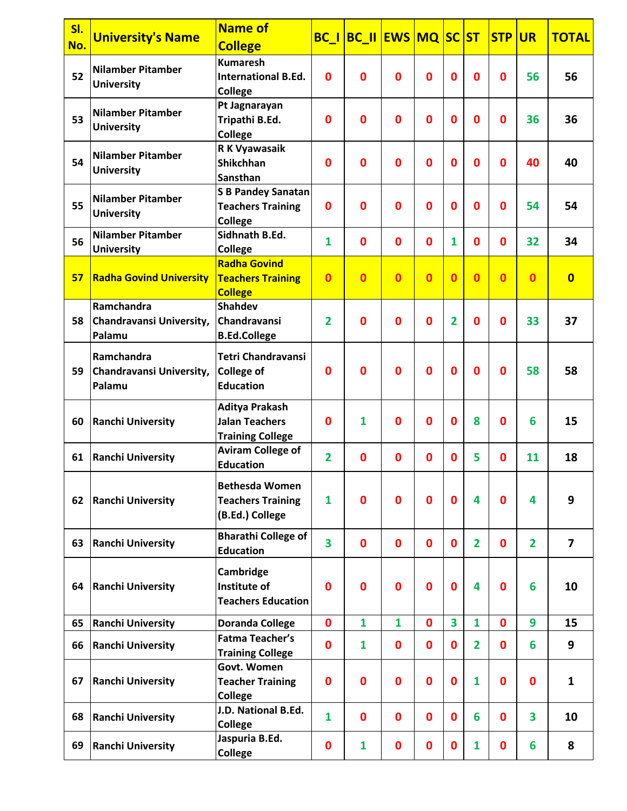| <b>BC_I BC_II EWS MQ SC ST</b><br><b>STP</b><br><b>University's Name</b><br><b>UR</b><br>No.<br><b>College</b><br><b>Kumaresh</b><br><b>Nilamber Pitamber</b>                                              | <b>TOTAL</b>            |
|------------------------------------------------------------------------------------------------------------------------------------------------------------------------------------------------------------|-------------------------|
|                                                                                                                                                                                                            |                         |
|                                                                                                                                                                                                            |                         |
| 52<br>$\mathbf 0$<br>$\mathbf{0}$<br>0<br>0<br><b>International B.Ed.</b><br>$\mathbf 0$<br>0<br>$\mathbf 0$<br>56                                                                                         | 56                      |
| <b>University</b><br><b>College</b>                                                                                                                                                                        |                         |
| Pt Jagnarayan<br><b>Nilamber Pitamber</b>                                                                                                                                                                  |                         |
| 53<br>$\mathbf 0$<br>$\mathbf 0$<br>$\bf{0}$<br>$\mathbf 0$<br>0<br>Tripathi B.Ed.<br>$\bf{0}$<br>$\mathbf 0$<br>36<br><b>University</b>                                                                   | 36                      |
| <b>College</b>                                                                                                                                                                                             |                         |
| R K Vyawasaik<br><b>Nilamber Pitamber</b>                                                                                                                                                                  |                         |
| 54<br><b>Shikchhan</b><br>0<br>$\bf{0}$<br>0<br>$\mathbf 0$<br>$\bf{0}$<br>$\bf{0}$<br>$\mathbf 0$<br>40<br><b>University</b>                                                                              | 40                      |
| <b>Sansthan</b>                                                                                                                                                                                            |                         |
| <b>S B Pandey Sanatan</b><br><b>Nilamber Pitamber</b>                                                                                                                                                      |                         |
| 55<br>$\mathbf 0$<br>$\bf{0}$<br>$\bf{0}$<br>$\bf{0}$<br>0<br>$\mathbf 0$<br>$\mathbf 0$<br>54<br><b>Teachers Training</b><br><b>University</b>                                                            | 54                      |
| <b>College</b>                                                                                                                                                                                             |                         |
| Sidhnath B.Ed.<br><b>Nilamber Pitamber</b><br>56<br>$\mathbf{1}$<br>$\mathbf 0$<br>$\mathbf{0}$<br>$\bf{0}$<br>1<br>$\mathbf 0$<br>$\mathbf{0}$<br>32                                                      | 34                      |
| <b>College</b><br><b>University</b>                                                                                                                                                                        |                         |
| <b>Radha Govind</b>                                                                                                                                                                                        |                         |
| $\overline{0}$<br>$\mathbf{0}$<br>$\mathbf{0}$<br>$\mathbf{0}$<br>$\overline{0}$<br>$\overline{0}$<br>$\overline{0}$<br>$\overline{0}$<br>57<br><b>Radha Govind University</b><br><b>Teachers Training</b> | $\overline{\mathbf{0}}$ |
| <b>College</b>                                                                                                                                                                                             |                         |
| Ramchandra<br><b>Shahdev</b>                                                                                                                                                                               |                         |
| $\overline{2}$<br>$\mathbf{0}$<br>$\bf{0}$<br>$\bf{0}$<br>2<br>$\mathbf 0$<br>33<br>58<br>Chandravansi<br>$\mathbf 0$<br><b>Chandravansi University,</b>                                                   | 37                      |
| Palamu<br><b>B.Ed.College</b>                                                                                                                                                                              |                         |
| <b>Tetri Chandravansi</b><br>Ramchandra                                                                                                                                                                    |                         |
| $\mathbf{0}$<br>$\mathbf{0}$<br>$\bf{0}$<br>$\mathbf 0$<br>$\bf{0}$<br>58<br>59<br>Chandravansi University,<br><b>College of</b><br>$\mathbf 0$<br>$\mathbf 0$                                             | 58                      |
| <b>Education</b><br>Palamu                                                                                                                                                                                 |                         |
|                                                                                                                                                                                                            |                         |
| <b>Aditya Prakash</b>                                                                                                                                                                                      |                         |
| $\mathbf 0$<br>8<br>60<br><b>Ranchi University</b><br><b>Jalan Teachers</b><br>$\mathbf{1}$<br>$\mathbf 0$<br>$\bf{0}$<br>0<br>$\mathbf 0$<br>6                                                            | 15                      |
| <b>Training College</b>                                                                                                                                                                                    |                         |
| <b>Aviram College of</b><br>$\overline{2}$<br>5<br>$\mathbf{0}$<br>$\mathbf{0}$<br>11<br>$\mathbf 0$<br>$\mathbf 0$<br>$\mathbf 0$<br>61<br><b>Ranchi University</b>                                       | 18                      |
| <b>Education</b>                                                                                                                                                                                           |                         |
| <b>Bethesda Women</b>                                                                                                                                                                                      |                         |
| $\mathbf{1}$<br>$\bf{0}$<br>4<br><b>Teachers Training</b><br>$\mathbf 0$<br>$\mathbf 0$<br>$\mathbf 0$<br>$\mathbf 0$<br>4<br>62<br><b>Ranchi University</b>                                               | 9                       |
| (B.Ed.) College                                                                                                                                                                                            |                         |
|                                                                                                                                                                                                            |                         |
| <b>Bharathi College of</b><br>3<br>$\mathbf 0$<br>$\mathbf 0$<br>$\mathbf{0}$<br>$\mathbf 0$<br>$\overline{2}$<br>$\mathbf 0$<br>$\overline{2}$<br><b>Ranchi University</b><br>63<br><b>Education</b>      | $\overline{7}$          |
|                                                                                                                                                                                                            |                         |
| Cambridge                                                                                                                                                                                                  |                         |
| Institute of<br>4<br>64<br><b>Ranchi University</b><br>$\mathbf 0$<br>0<br>$\mathbf 0$<br>$\bf{0}$<br>$\bf{0}$<br>$\mathbf 0$<br>6                                                                         | 10                      |
| <b>Teachers Education</b>                                                                                                                                                                                  |                         |
| 3<br>$\mathbf 0$<br>$\overline{\mathbf{1}}$<br>$\overline{\mathbf{1}}$<br>$\mathbf 0$<br>$\overline{\mathbf{1}}$<br>9<br>$\mathbf 0$<br>65<br><b>Ranchi University</b><br><b>Doranda College</b>           | 15                      |
| <b>Fatma Teacher's</b>                                                                                                                                                                                     |                         |
| $\mathbf 0$<br>66<br><b>Ranchi University</b><br>$\mathbf{1}$<br>$\boldsymbol{0}$<br>$\boldsymbol{0}$<br>$\overline{2}$<br>6<br>0<br>$\mathbf 0$<br><b>Training College</b>                                | 9                       |
| Govt. Women                                                                                                                                                                                                |                         |
| $\mathbf 0$<br>$\bf{0}$<br>1<br>$\bf{0}$<br>$\mathbf 0$<br>0<br>$\mathbf 0$<br>0<br>67<br><b>Ranchi University</b><br><b>Teacher Training</b>                                                              | $\mathbf{1}$            |
| <b>College</b>                                                                                                                                                                                             |                         |
| J.D. National B.Ed.                                                                                                                                                                                        |                         |
| $\mathbf{1}$<br>6<br><b>Ranchi University</b><br>$\mathbf 0$<br>$\boldsymbol{0}$<br>$\bf{0}$<br>$\bf{0}$<br>$\mathbf 0$<br>3<br>68<br><b>College</b>                                                       | 10                      |
| Jaspuria B.Ed.                                                                                                                                                                                             |                         |
| 69<br>$\mathbf 0$<br>$\mathbf{1}$<br>$\mathbf 0$<br>$\mathbf 0$<br>$\mathbf 0$<br>1<br>$\mathbf 0$<br>6<br><b>Ranchi University</b><br><b>College</b>                                                      | 8                       |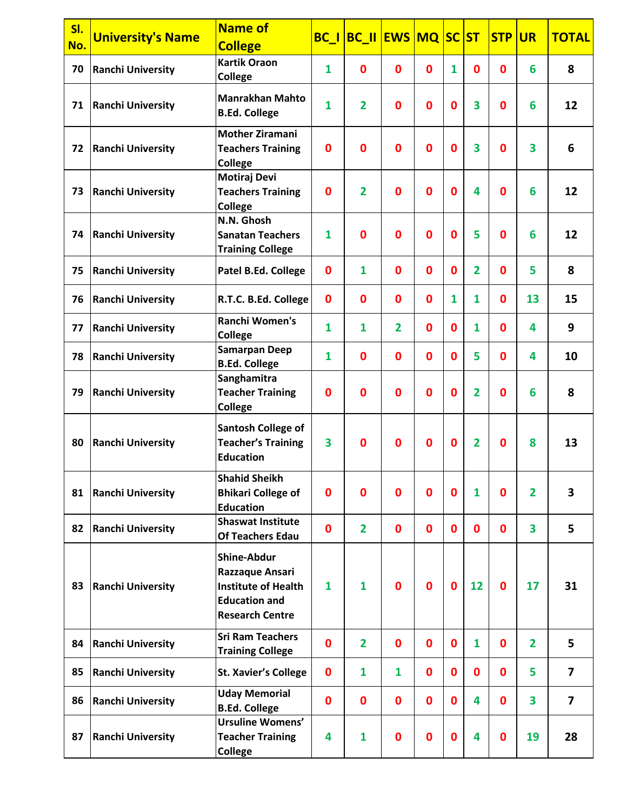| SI.<br>No. | <b>University's Name</b> | <b>Name of</b><br><b>College</b>                                                                                      |              | <b>BC_I BC_II EWS MQ SC</b> |                  |                  |                  | ST                      | <b>STP</b>   | <b>UR</b>      | <b>TOTAL</b>            |
|------------|--------------------------|-----------------------------------------------------------------------------------------------------------------------|--------------|-----------------------------|------------------|------------------|------------------|-------------------------|--------------|----------------|-------------------------|
| 70         | <b>Ranchi University</b> | <b>Kartik Oraon</b><br><b>College</b>                                                                                 | $\mathbf{1}$ | 0                           | $\mathbf 0$      | $\mathbf 0$      | 1                | $\bf{0}$                | $\mathbf{0}$ | 6              | 8                       |
| 71         | <b>Ranchi University</b> | <b>Manrakhan Mahto</b><br><b>B.Ed. College</b>                                                                        | $\mathbf{1}$ | $\overline{2}$              | $\mathbf{0}$     | $\mathbf 0$      | $\mathbf{0}$     | 3                       | $\mathbf 0$  | 6              | 12                      |
| 72         | <b>Ranchi University</b> | <b>Mother Ziramani</b><br><b>Teachers Training</b><br><b>College</b>                                                  | $\bf{0}$     | 0                           | 0                | $\mathbf{0}$     | $\bf{0}$         | 3                       | $\mathbf 0$  | 3              | 6                       |
| 73         | <b>Ranchi University</b> | <b>Motiraj Devi</b><br><b>Teachers Training</b><br><b>College</b>                                                     | $\bf{0}$     | $\overline{2}$              | $\bf{0}$         | $\mathbf 0$      | $\mathbf 0$      | 4                       | $\mathbf 0$  | 6              | 12                      |
| 74         | <b>Ranchi University</b> | N.N. Ghosh<br><b>Sanatan Teachers</b><br><b>Training College</b>                                                      | $\mathbf{1}$ | 0                           | 0                | $\mathbf{0}$     | $\bf{0}$         | 5                       | $\mathbf 0$  | 6              | 12                      |
| 75         | <b>Ranchi University</b> | Patel B.Ed. College                                                                                                   | $\bf{0}$     | $\mathbf{1}$                | $\bf{0}$         | $\mathbf 0$      | $\mathbf 0$      | $\mathbf{2}$            | $\bf{0}$     | 5              | 8                       |
| 76         | <b>Ranchi University</b> | R.T.C. B.Ed. College                                                                                                  | $\bf{0}$     | 0                           | $\mathbf 0$      | $\mathbf 0$      | 1                | $\mathbf{1}$            | $\mathbf{0}$ | 13             | 15                      |
| 77         | <b>Ranchi University</b> | <b>Ranchi Women's</b><br>College                                                                                      | $\mathbf{1}$ | $\mathbf{1}$                | $\overline{2}$   | $\mathbf{0}$     | $\mathbf 0$      | $\mathbf{1}$            | $\mathbf 0$  | 4              | 9                       |
| 78         | <b>Ranchi University</b> | <b>Samarpan Deep</b><br><b>B.Ed. College</b>                                                                          | $\mathbf{1}$ | 0                           | $\bf{0}$         | $\mathbf 0$      | $\mathbf 0$      | 5                       | $\bf{0}$     | 4              | 10                      |
| 79         | <b>Ranchi University</b> | Sanghamitra<br><b>Teacher Training</b><br><b>College</b>                                                              | $\bf{0}$     | 0                           | $\mathbf 0$      | $\bf{0}$         | $\bf{0}$         | 2                       | 0            | 6              | 8                       |
| 80         | <b>Ranchi University</b> | <b>Santosh College of</b><br><b>Teacher's Training</b><br><b>Education</b>                                            | 3            | 0                           | 0                | $\mathbf 0$      | $\boldsymbol{0}$ | $\overline{2}$          | $\bf{0}$     | 8              | 13                      |
| 81         | <b>Ranchi University</b> | <b>Shahid Sheikh</b><br><b>Bhikari College of</b><br><b>Education</b>                                                 | $\bf{0}$     | 0                           | $\mathbf 0$      | $\mathbf 0$      | $\mathbf 0$      | 1                       | 0            | $\overline{2}$ | 3                       |
| 82         | <b>Ranchi University</b> | <b>Shaswat Institute</b><br><b>Of Teachers Edau</b>                                                                   | $\mathbf 0$  | $\overline{2}$              | $\mathbf{0}$     | $\mathbf 0$      | $\mathbf{0}$     | $\mathbf 0$             | $\mathbf 0$  | 3              | 5                       |
| 83         | <b>Ranchi University</b> | <b>Shine-Abdur</b><br>Razzaque Ansari<br><b>Institute of Health</b><br><b>Education and</b><br><b>Research Centre</b> | $\mathbf{1}$ | 1                           | $\bf{0}$         | $\mathbf 0$      | $\mathbf 0$      | 12                      | $\bf{0}$     | 17             | 31                      |
| 84         | <b>Ranchi University</b> | <b>Sri Ram Teachers</b><br><b>Training College</b>                                                                    | $\mathbf 0$  | $\overline{2}$              | $\boldsymbol{0}$ | $\mathbf 0$      | $\mathbf 0$      | $\mathbf{1}$            | $\mathbf 0$  | $\overline{2}$ | 5                       |
| 85         | <b>Ranchi University</b> | <b>St. Xavier's College</b>                                                                                           | $\bf{0}$     | $\mathbf{1}$                | $\mathbf{1}$     | $\mathbf 0$      | $\mathbf 0$      | $\mathbf 0$             | $\bf{0}$     | 5              | $\overline{7}$          |
| 86         | <b>Ranchi University</b> | <b>Uday Memorial</b><br><b>B.Ed. College</b>                                                                          | $\mathbf 0$  | $\mathbf 0$                 | $\bf{0}$         | $\mathbf 0$      | $\mathbf 0$      | 4                       | $\mathbf 0$  | 3              | $\overline{\mathbf{z}}$ |
| 87         | <b>Ranchi University</b> | <b>Ursuline Womens'</b><br><b>Teacher Training</b><br><b>College</b>                                                  | 4            | $\mathbf{1}$                | $\bf{0}$         | $\boldsymbol{0}$ | $\boldsymbol{0}$ | $\overline{\mathbf{4}}$ | $\bf{0}$     | 19             | 28                      |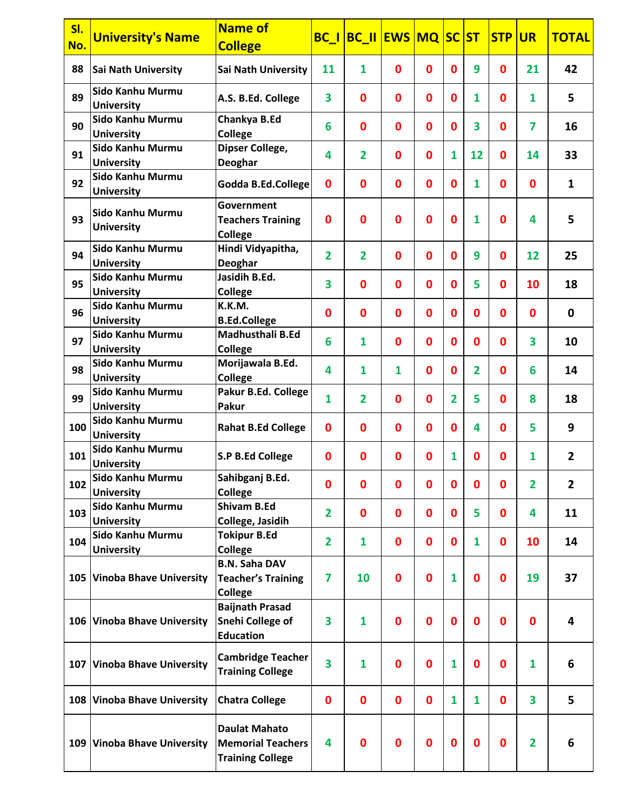| SI.<br>No. | <b>University's Name</b>              | <b>Name of</b><br><b>College</b>                                            |                         | <b>BC_I BC_II EWS MQ SC ST</b> |                  |              |                |                | <b>STP</b>  | <b>UR</b>               | <b>TOTAL</b>   |
|------------|---------------------------------------|-----------------------------------------------------------------------------|-------------------------|--------------------------------|------------------|--------------|----------------|----------------|-------------|-------------------------|----------------|
| 88         | Sai Nath University                   | <b>Sai Nath University</b>                                                  | 11                      | $\mathbf{1}$                   | $\mathbf 0$      | $\mathbf 0$  | $\mathbf{0}$   | 9              | $\mathbf 0$ | 21                      | 42             |
| 89         | Sido Kanhu Murmu<br><b>University</b> | A.S. B.Ed. College                                                          | 3                       | $\mathbf 0$                    | $\mathbf{0}$     | $\mathbf 0$  | $\mathbf{0}$   | $\mathbf{1}$   | $\mathbf 0$ | $\mathbf{1}$            | 5              |
| 90         | Sido Kanhu Murmu<br><b>University</b> | Chankya B.Ed<br>College                                                     | 6                       | $\mathbf 0$                    | $\mathbf{0}$     | $\mathbf 0$  | $\mathbf 0$    | 3              | $\mathbf 0$ | $\overline{\mathbf{z}}$ | 16             |
| 91         | Sido Kanhu Murmu<br><b>University</b> | Dipser College,<br>Deoghar                                                  | 4                       | 2                              | $\mathbf 0$      | $\mathbf 0$  | $\mathbf{1}$   | 12             | 0           | 14                      | 33             |
| 92         | Sido Kanhu Murmu<br><b>University</b> | <b>Godda B.Ed.College</b>                                                   | $\bf{0}$                | 0                              | $\mathbf 0$      | $\mathbf{0}$ | $\mathbf 0$    | $\mathbf{1}$   | $\mathbf 0$ | $\mathbf 0$             | $\mathbf{1}$   |
| 93         | Sido Kanhu Murmu<br><b>University</b> | Government<br><b>Teachers Training</b><br><b>College</b>                    | $\bf{0}$                | 0                              | $\bf{0}$         | $\mathbf 0$  | $\mathbf 0$    | 1              | 0           | 4                       | 5              |
| 94         | Sido Kanhu Murmu<br><b>University</b> | Hindi Vidyapitha,<br>Deoghar                                                | $\overline{2}$          | $\mathbf{2}$                   | $\mathbf 0$      | $\mathbf 0$  | $\mathbf{0}$   | 9              | $\mathbf 0$ | 12                      | 25             |
| 95         | Sido Kanhu Murmu<br><b>University</b> | Jasidih B.Ed.<br><b>College</b>                                             | 3                       | $\mathbf 0$                    | $\mathbf 0$      | $\mathbf 0$  | $\mathbf{0}$   | 5              | $\mathbf 0$ | 10                      | 18             |
| 96         | Sido Kanhu Murmu<br><b>University</b> | K.K.M.<br><b>B.Ed.College</b>                                               | $\mathbf 0$             | 0                              | $\mathbf 0$      | $\mathbf 0$  | $\mathbf 0$    | $\mathbf 0$    | $\mathbf 0$ | $\mathbf 0$             | 0              |
| 97         | Sido Kanhu Murmu<br><b>University</b> | Madhusthali B.Ed<br><b>College</b>                                          | 6                       | $\mathbf{1}$                   | $\mathbf 0$      | $\mathbf 0$  | $\mathbf{0}$   | $\bf{0}$       | $\mathbf 0$ | 3                       | 10             |
| 98         | Sido Kanhu Murmu<br><b>University</b> | Morijawala B.Ed.<br><b>College</b>                                          | 4                       | $\mathbf{1}$                   | $\mathbf{1}$     | $\mathbf{0}$ | $\mathbf{0}$   | $\overline{2}$ | $\mathbf 0$ | 6                       | 14             |
| 99         | Sido Kanhu Murmu<br><b>University</b> | Pakur B.Ed. College<br>Pakur                                                | $\mathbf{1}$            | $\overline{2}$                 | $\mathbf 0$      | $\mathbf 0$  | $\overline{2}$ | 5              | $\mathbf 0$ | 8                       | 18             |
| 100        | Sido Kanhu Murmu<br><b>University</b> | <b>Rahat B.Ed College</b>                                                   | $\bf{0}$                | 0                              | $\mathbf 0$      | $\mathbf 0$  | $\mathbf{0}$   | 4              | $\mathbf 0$ | 5                       | 9              |
| 101        | Sido Kanhu Murmu<br><b>University</b> | <b>S.P B.Ed College</b>                                                     | $\bf{0}$                | $\mathbf 0$                    | $\mathbf 0$      | $\mathbf{0}$ | 1              | $\mathbf 0$    | $\mathbf 0$ | 1                       | $\overline{2}$ |
| 102        | Sido Kanhu Murmu<br><b>University</b> | Sahibganj B.Ed.<br>College                                                  | 0                       | 0                              | $\bf{0}$         | $\bf{0}$     | 0              | $\bf{0}$       | 0           | $\overline{2}$          | $\overline{2}$ |
| 103        | Sido Kanhu Murmu<br><b>University</b> | <b>Shivam B.Ed</b><br>College, Jasidih                                      | $\overline{\mathbf{2}}$ | 0                              | $\boldsymbol{0}$ | $\mathbf 0$  | 0              | 5              | $\mathbf 0$ | 4                       | 11             |
| 104        | Sido Kanhu Murmu<br><b>University</b> | <b>Tokipur B.Ed</b><br><b>College</b>                                       | $\overline{2}$          | $\mathbf{1}$                   | $\boldsymbol{0}$ | $\mathbf 0$  | $\mathbf 0$    | $\mathbf{1}$   | $\mathbf 0$ | 10                      | 14             |
|            | 105 Vinoba Bhave University           | <b>B.N. Saha DAV</b><br><b>Teacher's Training</b><br><b>College</b>         | 7                       | 10                             | $\boldsymbol{0}$ | $\mathbf 0$  | $\mathbf{1}$   | $\bf{0}$       | 0           | 19                      | 37             |
|            | 106 Vinoba Bhave University           | <b>Baijnath Prasad</b><br><b>Snehi College of</b><br><b>Education</b>       | 3                       | $\mathbf{1}$                   | $\bf{0}$         | $\mathbf 0$  | $\mathbf 0$    | $\mathbf 0$    | $\mathbf 0$ | $\mathbf 0$             | 4              |
|            | 107 Vinoba Bhave University           | <b>Cambridge Teacher</b><br><b>Training College</b>                         | 3                       | $\mathbf{1}$                   | $\boldsymbol{0}$ | $\mathbf 0$  | $\mathbf{1}$   | $\bf{0}$       | $\mathbf 0$ | $\mathbf{1}$            | 6              |
|            | 108 Vinoba Bhave University           | <b>Chatra College</b>                                                       | $\bf{0}$                | 0                              | $\mathbf 0$      | $\mathbf 0$  | $\mathbf{1}$   | $\mathbf{1}$   | $\mathbf 0$ | 3                       | 5              |
|            | 109 Vinoba Bhave University           | <b>Daulat Mahato</b><br><b>Memorial Teachers</b><br><b>Training College</b> | 4                       | 0                              | $\mathbf 0$      | $\mathbf 0$  | $\mathbf 0$    | $\bf{0}$       | $\mathbf 0$ | $\overline{2}$          | 6              |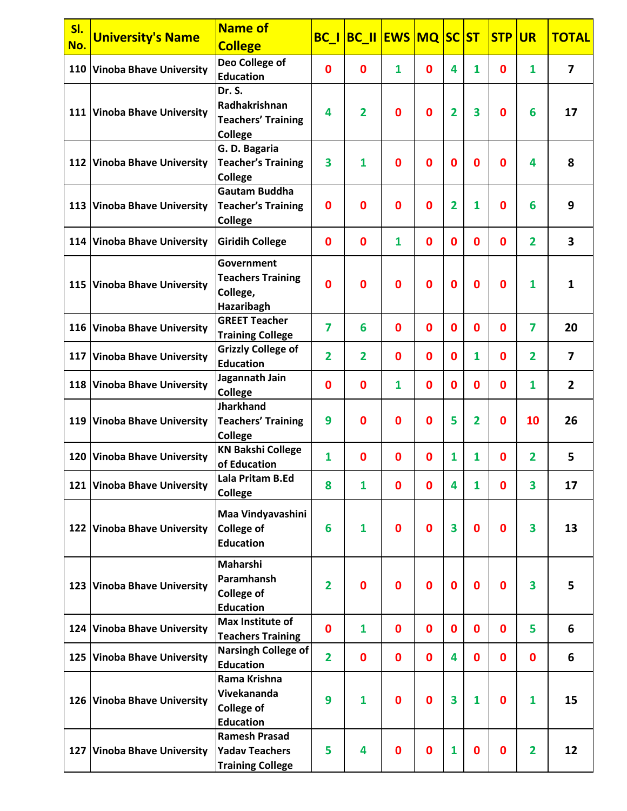| SI. |                                | <b>Name of</b>                     | <b>BC_I BC_II EWS MQ SC</b> |                | <b>ST</b>   | <b>STP</b>  | <b>UR</b>      | <b>TOTAL</b>   |             |                |                         |
|-----|--------------------------------|------------------------------------|-----------------------------|----------------|-------------|-------------|----------------|----------------|-------------|----------------|-------------------------|
| No. | <b>University's Name</b>       | <b>College</b>                     |                             |                |             |             |                |                |             |                |                         |
|     | 110 Vinoba Bhave University    | Deo College of                     | $\bf{0}$                    | $\mathbf 0$    | 1           | $\mathbf 0$ | 4              | 1              | $\bf{0}$    | $\mathbf{1}$   | $\overline{\mathbf{z}}$ |
|     |                                | <b>Education</b>                   |                             |                |             |             |                |                |             |                |                         |
|     |                                | Dr. S.                             |                             |                |             |             |                |                |             |                |                         |
|     | 111 Vinoba Bhave University    | Radhakrishnan                      | 4                           | $\overline{2}$ | $\mathbf 0$ | $\mathbf 0$ | $\overline{2}$ | 3              | $\mathbf 0$ | 6              | 17                      |
|     |                                | <b>Teachers' Training</b>          |                             |                |             |             |                |                |             |                |                         |
|     |                                | College                            |                             |                |             |             |                |                |             |                |                         |
|     |                                | G. D. Bagaria                      |                             |                |             |             |                |                |             |                |                         |
|     | 112 Vinoba Bhave University    | <b>Teacher's Training</b>          | 3                           | 1              | $\mathbf 0$ | $\bf{0}$    | $\mathbf 0$    | $\mathbf 0$    | $\bf{0}$    | 4              | 8                       |
|     |                                | College<br><b>Gautam Buddha</b>    |                             |                |             |             |                |                |             |                |                         |
|     | 113 Vinoba Bhave University    | <b>Teacher's Training</b>          | $\bf{0}$                    | 0              | $\mathbf 0$ | $\bf{0}$    | $\overline{2}$ | 1              | $\bf{0}$    | 6              | 9                       |
|     |                                | <b>College</b>                     |                             |                |             |             |                |                |             |                |                         |
|     |                                |                                    |                             |                |             |             |                |                |             |                |                         |
|     | 114 Vinoba Bhave University    | <b>Giridih College</b>             | $\bf{0}$                    | 0              | 1           | $\mathbf 0$ | $\mathbf{0}$   | $\bf{0}$       | $\bf{0}$    | $\overline{2}$ | 3                       |
|     |                                | <b>Government</b>                  |                             |                |             |             |                |                |             |                |                         |
|     |                                | <b>Teachers Training</b>           |                             |                |             |             |                |                |             |                |                         |
|     | 115 Vinoba Bhave University    | College,                           | 0                           | $\bf{0}$       | $\Omega$    | $\bf{0}$    | $\mathbf 0$    | $\mathbf 0$    | $\mathbf 0$ | 1              | $\mathbf{1}$            |
|     |                                | Hazaribagh                         |                             |                |             |             |                |                |             |                |                         |
|     | 116 Vinoba Bhave University    | <b>GREET Teacher</b>               | $\overline{7}$              | 6              | $\bf{0}$    | $\mathbf 0$ | $\mathbf 0$    | $\bf{0}$       | $\mathbf 0$ | 7              | 20                      |
|     |                                | <b>Training College</b>            |                             |                |             |             |                |                |             |                |                         |
| 117 | <b>Vinoba Bhave University</b> | <b>Grizzly College of</b>          | $\overline{2}$              | $\mathbf{2}$   | $\mathbf 0$ | $\mathbf 0$ | $\mathbf{0}$   | 1              | 0           | $\mathbf{2}$   | $\overline{\mathbf{z}}$ |
|     |                                | <b>Education</b>                   |                             |                |             |             |                |                |             |                |                         |
|     | 118 Vinoba Bhave University    | Jagannath Jain                     | $\bf{0}$                    | 0              | 1           | $\mathbf 0$ | $\mathbf 0$    | $\bf{0}$       | $\mathbf 0$ | $\mathbf{1}$   | $\overline{2}$          |
|     |                                | <b>College</b><br><b>Jharkhand</b> |                             |                |             |             |                |                |             |                |                         |
|     | <b>Vinoba Bhave University</b> | <b>Teachers' Training</b>          | 9                           | 0              | $\mathbf 0$ | $\bf{0}$    | 5              | $\overline{2}$ | $\bf{0}$    | 10             | 26                      |
| 119 |                                | <b>College</b>                     |                             |                |             |             |                |                |             |                |                         |
|     |                                | <b>KN Bakshi College</b>           |                             |                |             |             |                |                |             |                |                         |
|     | 120 Vinoba Bhave University    | of Education                       | $\mathbf{1}$                | 0              | $\bf{0}$    | $\mathbf 0$ | 1              | 1              | $\mathbf 0$ | $\overline{2}$ | 5                       |
|     | 121 Vinoba Bhave University    | Lala Pritam B.Ed                   | 8                           | 1              | $\mathbf 0$ | $\bf{0}$    | 4              | 1              | 0           | 3              | 17                      |
|     |                                | <b>College</b>                     |                             |                |             |             |                |                |             |                |                         |
|     |                                | Maa Vindyavashini                  |                             |                |             |             |                |                |             |                |                         |
|     | 122 Vinoba Bhave University    | <b>College of</b>                  | 6                           | 1              | $\bf{0}$    | $\mathbf 0$ | 3              | $\bf{0}$       | $\mathbf 0$ | 3              | 13                      |
|     |                                | <b>Education</b>                   |                             |                |             |             |                |                |             |                |                         |
|     |                                |                                    |                             |                |             |             |                |                |             |                |                         |
|     |                                | Maharshi<br>Paramhansh             |                             |                |             |             |                |                |             |                |                         |
|     | 123 Vinoba Bhave University    | <b>College of</b>                  | $\overline{2}$              | $\bf{0}$       | $\mathbf 0$ | $\mathbf 0$ | $\mathbf 0$    | $\bf{0}$       | $\mathbf 0$ | 3              | 5                       |
|     |                                | <b>Education</b>                   |                             |                |             |             |                |                |             |                |                         |
|     |                                | Max Institute of                   |                             |                |             |             |                |                |             |                |                         |
|     | 124 Vinoba Bhave University    | <b>Teachers Training</b>           | $\bf{0}$                    | $\mathbf{1}$   | $\bf{0}$    | $\mathbf 0$ | $\mathbf 0$    | $\bf{0}$       | $\mathbf 0$ | 5              | 6                       |
|     |                                | <b>Narsingh College of</b>         |                             |                |             |             |                |                |             |                |                         |
| 125 | <b>Vinoba Bhave University</b> | <b>Education</b>                   | $\overline{2}$              | 0              | $\bf{0}$    | $\mathbf 0$ | 4              | $\bf{0}$       | $\mathbf 0$ | $\mathbf 0$    | 6                       |
|     |                                | Rama Krishna                       |                             |                |             |             |                |                |             |                |                         |
|     | 126 Vinoba Bhave University    | Vivekananda                        | 9                           | 1              | $\bf{0}$    | $\bf{0}$    | 3              | $\mathbf{1}$   | $\mathbf 0$ | 1              | 15                      |
|     |                                | <b>College of</b>                  |                             |                |             |             |                |                |             |                |                         |
|     |                                | <b>Education</b>                   |                             |                |             |             |                |                |             |                |                         |
|     |                                | <b>Ramesh Prasad</b>               |                             |                |             |             |                |                |             |                |                         |
|     | 127 Vinoba Bhave University    | <b>Yadav Teachers</b>              | 5                           | 4              | $\bf{0}$    | $\mathbf 0$ | 1              | $\bf{0}$       | 0           | 2              | 12                      |
|     |                                | <b>Training College</b>            |                             |                |             |             |                |                |             |                |                         |